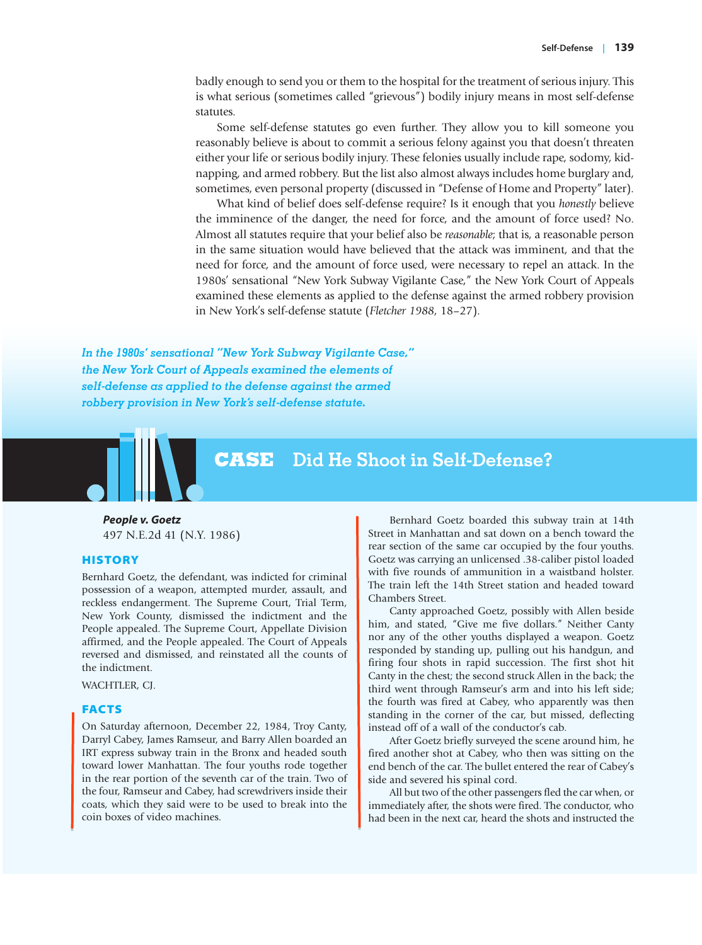badly enough to send you or them to the hospital for the treatment of serious injury. This is what serious (sometimes called "grievous") bodily injury means in most self-defense statutes.

Some self-defense statutes go even further. They allow you to kill someone you reasonably believe is about to commit a serious felony against you that doesn't threaten either your life or serious bodily injury. These felonies usually include rape, sodomy, kidnapping, and armed robbery. But the list also almost always includes home burglary and, sometimes, even personal property (discussed in "Defense of Home and Property" later).

What kind of belief does self-defense require? Is it enough that you *honestly* believe the imminence of the danger, the need for force, and the amount of force used? No. Almost all statutes require that your belief also be *reasonable*; that is, a reasonable person in the same situation would have believed that the attack was imminent, and that the need for force, and the amount of force used, were necessary to repel an attack. In the 1980s' sensational "New York Subway Vigilante Case," the New York Court of Appeals examined these elements as applied to the defense against the armed robbery provision in New York's self-defense statute (*Fletcher 1988*, 18–27).

*In the 1980s' sensational "New York Subway Vigilante Case," the New York Court of Appeals examined the elements of self-defense as applied to the defense against the armed robbery provision in New York's self-defense statute.*

**CASE Did He Shoot in Self-Defense?**

## **People v. Goetz**

497 N.E.2d 41 (N.Y. 1986)

## **HISTORY**

Bernhard Goetz, the defendant, was indicted for criminal possession of a weapon, attempted murder, assault, and reckless endangerment. The Supreme Court, Trial Term, New York County, dismissed the indictment and the People appealed. The Supreme Court, Appellate Division affirmed, and the People appealed. The Court of Appeals reversed and dismissed, and reinstated all the counts of the indictment.

WACHTLER, CI.

# FACTS

On Saturday afternoon, December 22, 1984, Troy Canty, Darryl Cabey, James Ramseur, and Barry Allen boarded an IRT express subway train in the Bronx and headed south toward lower Manhattan. The four youths rode together in the rear portion of the seventh car of the train. Two of the four, Ramseur and Cabey, had screwdrivers inside their coats, which they said were to be used to break into the coin boxes of video machines.

Bernhard Goetz boarded this subway train at 14th Street in Manhattan and sat down on a bench toward the rear section of the same car occupied by the four youths. Goetz was carrying an unlicensed .38-caliber pistol loaded with five rounds of ammunition in a waistband holster. The train left the 14th Street station and headed toward Chambers Street.

Canty approached Goetz, possibly with Allen beside him, and stated, "Give me five dollars." Neither Canty nor any of the other youths displayed a weapon. Goetz responded by standing up, pulling out his handgun, and firing four shots in rapid succession. The first shot hit Canty in the chest; the second struck Allen in the back; the third went through Ramseur's arm and into his left side; the fourth was fired at Cabey, who apparently was then standing in the corner of the car, but missed, deflecting instead off of a wall of the conductor's cab.

After Goetz briefly surveyed the scene around him, he fired another shot at Cabey, who then was sitting on the end bench of the car. The bullet entered the rear of Cabey's side and severed his spinal cord.

All but two of the other passengers fled the car when, or immediately after, the shots were fired. The conductor, who had been in the next car, heard the shots and instructed the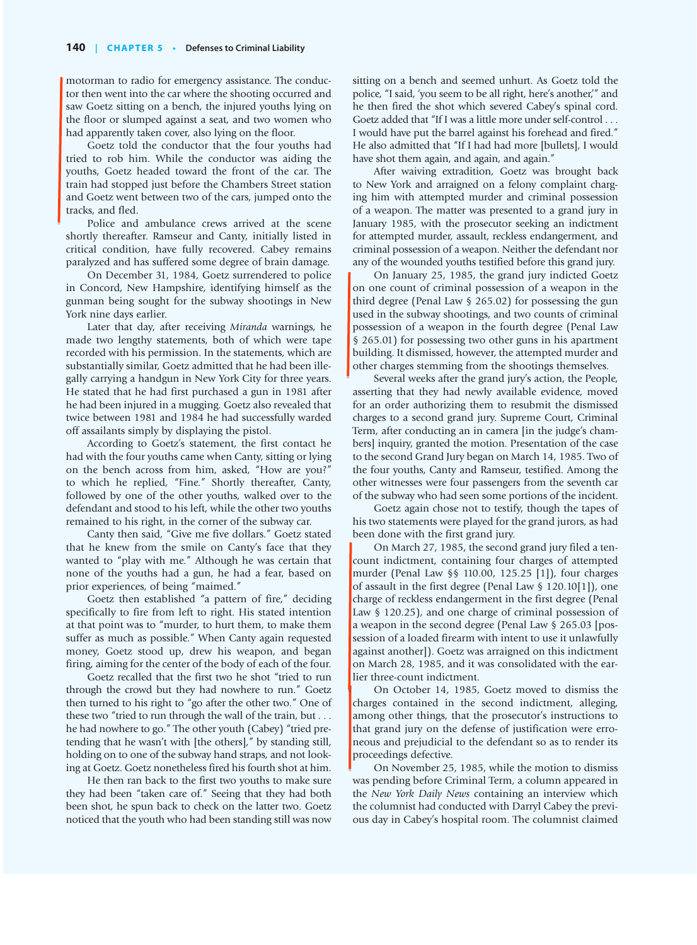motorman to radio for emergency assistance. The conductor then went into the car where the shooting occurred and saw Goetz sitting on a bench, the injured youths lying on the floor or slumped against a seat, and two women who had apparently taken cover, also lying on the floor.

Goetz told the conductor that the four youths had tried to rob him. While the conductor was aiding the youths, Goetz headed toward the front of the car. The train had stopped just before the Chambers Street station and Goetz went between two of the cars, jumped onto the tracks, and fled.

Police and ambulance crews arrived at the scene shortly thereafter. Ramseur and Canty, initially listed in critical condition, have fully recovered. Cabey remains paralyzed and has suffered some degree of brain damage.

On December 31, 1984, Goetz surrendered to police in Concord, New Hampshire, identifying himself as the gunman being sought for the subway shootings in New York nine days earlier.

Later that day, after receiving *Miranda* warnings, he made two lengthy statements, both of which were tape recorded with his permission. In the statements, which are substantially similar, Goetz admitted that he had been illegally carrying a handgun in New York City for three years. He stated that he had first purchased a gun in 1981 after he had been injured in a mugging. Goetz also revealed that twice between 1981 and 1984 he had successfully warded off assailants simply by displaying the pistol.

According to Goetz's statement, the first contact he had with the four youths came when Canty, sitting or lying on the bench across from him, asked, "How are you?" to which he replied, "Fine." Shortly thereafter, Canty, followed by one of the other youths, walked over to the defendant and stood to his left, while the other two youths remained to his right, in the corner of the subway car.

Canty then said, "Give me five dollars." Goetz stated that he knew from the smile on Canty's face that they wanted to "play with me." Although he was certain that none of the youths had a gun, he had a fear, based on prior experiences, of being "maimed."

Goetz then established "a pattern of fire," deciding specifically to fire from left to right. His stated intention at that point was to "murder, to hurt them, to make them suffer as much as possible." When Canty again requested money, Goetz stood up, drew his weapon, and began firing, aiming for the center of the body of each of the four.

Goetz recalled that the first two he shot "tried to run through the crowd but they had nowhere to run." Goetz then turned to his right to "go after the other two." One of these two "tried to run through the wall of the train, but . . . he had nowhere to go." The other youth (Cabey) "tried pretending that he wasn't with [the others]," by standing still, holding on to one of the subway hand straps, and not looking at Goetz. Goetz nonetheless fired his fourth shot at him.

He then ran back to the first two youths to make sure they had been "taken care of." Seeing that they had both been shot, he spun back to check on the latter two. Goetz noticed that the youth who had been standing still was now sitting on a bench and seemed unhurt. As Goetz told the police, "I said, 'you seem to be all right, here's another,'" and he then fired the shot which severed Cabey's spinal cord. Goetz added that "If I was a little more under self-control . . . I would have put the barrel against his forehead and fired." He also admitted that "If I had had more [bullets], I would have shot them again, and again, and again."

After waiving extradition, Goetz was brought back to New York and arraigned on a felony complaint charging him with attempted murder and criminal possession of a weapon. The matter was presented to a grand jury in January 1985, with the prosecutor seeking an indictment for attempted murder, assault, reckless endangerment, and criminal possession of a weapon. Neither the defendant nor any of the wounded youths testified before this grand jury.

On January 25, 1985, the grand jury indicted Goetz on one count of criminal possession of a weapon in the third degree (Penal Law § 265.02) for possessing the gun used in the subway shootings, and two counts of criminal possession of a weapon in the fourth degree (Penal Law § 265.01) for possessing two other guns in his apartment building. It dismissed, however, the attempted murder and other charges stemming from the shootings themselves.

Several weeks after the grand jury's action, the People, asserting that they had newly available evidence, moved for an order authorizing them to resubmit the dismissed charges to a second grand jury. Supreme Court, Criminal Term, after conducting an in camera [in the judge's chambers] inquiry, granted the motion. Presentation of the case to the second Grand Jury began on March 14, 1985. Two of the four youths, Canty and Ramseur, testified. Among the other witnesses were four passengers from the seventh car of the subway who had seen some portions of the incident.

Goetz again chose not to testify, though the tapes of his two statements were played for the grand jurors, as had been done with the first grand jury.

On March 27, 1985, the second grand jury filed a tencount indictment, containing four charges of attempted murder (Penal Law §§ 110.00, 125.25 [1]), four charges of assault in the first degree (Penal Law § 120.10[1]), one charge of reckless endangerment in the first degree (Penal Law § 120.25), and one charge of criminal possession of a weapon in the second degree (Penal Law § 265.03 [possession of a loaded firearm with intent to use it unlawfully against another]). Goetz was arraigned on this indictment on March 28, 1985, and it was consolidated with the earlier three-count indictment.

On October 14, 1985, Goetz moved to dismiss the charges contained in the second indictment, alleging, among other things, that the prosecutor's instructions to that grand jury on the defense of justification were erroneous and prejudicial to the defendant so as to render its proceedings defective.

On November 25, 1985, while the motion to dismiss was pending before Criminal Term, a column appeared in the *New York Daily News* containing an interview which the columnist had conducted with Darryl Cabey the previous day in Cabey's hospital room. The columnist claimed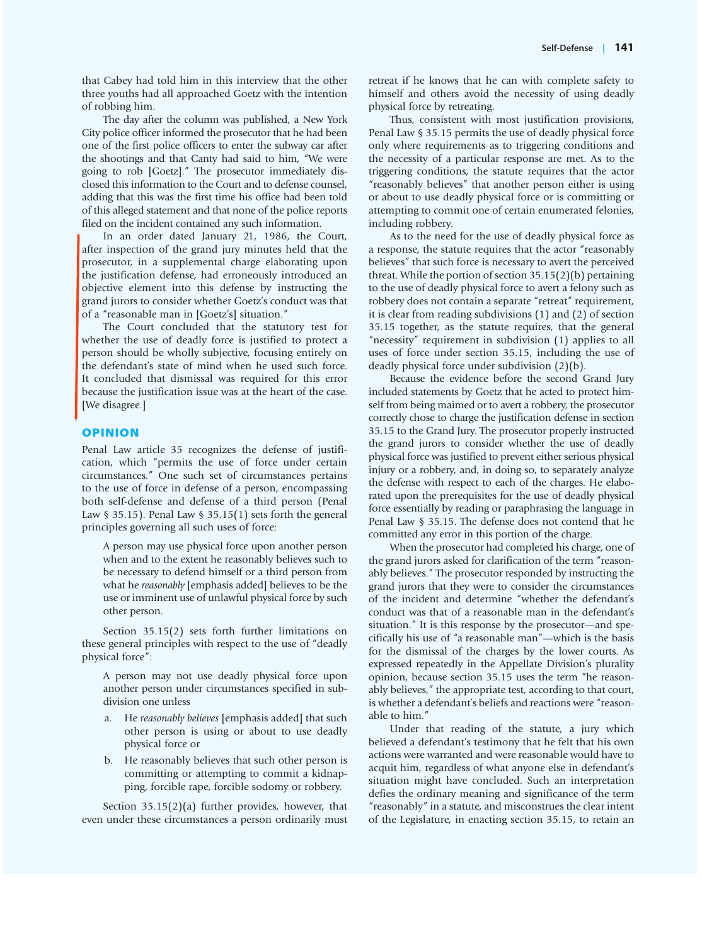that Cabey had told him in this interview that the other three youths had all approached Goetz with the intention of robbing him.

The day after the column was published, a New York City police officer informed the prosecutor that he had been one of the first police officers to enter the subway car after the shootings and that Canty had said to him, "We were going to rob [Goetz]." The prosecutor immediately disclosed this information to the Court and to defense counsel, adding that this was the first time his office had been told of this alleged statement and that none of the police reports filed on the incident contained any such information.

In an order dated January 21, 1986, the Court, after inspection of the grand jury minutes held that the prosecutor, in a supplemental charge elaborating upon the justification defense, had erroneously introduced an objective element into this defense by instructing the grand jurors to consider whether Goetz's conduct was that of a "reasonable man in [Goetz's] situation."

The Court concluded that the statutory test for whether the use of deadly force is justified to protect a person should be wholly subjective, focusing entirely on the defendant's state of mind when he used such force. It concluded that dismissal was required for this error because the justification issue was at the heart of the case. [We disagree.]

## **OPINION**

Penal Law article 35 recognizes the defense of justification, which "permits the use of force under certain circumstances." One such set of circumstances pertains to the use of force in defense of a person, encompassing both self-defense and defense of a third person (Penal Law § 35.15). Penal Law § 35.15(1) sets forth the general principles governing all such uses of force:

A person may use physical force upon another person when and to the extent he reasonably believes such to be necessary to defend himself or a third person from what he *reasonably* [emphasis added] believes to be the use or imminent use of unlawful physical force by such other person.

Section 35.15(2) sets forth further limitations on these general principles with respect to the use of "deadly physical force":

A person may not use deadly physical force upon another person under circumstances specified in subdivision one unless

- a. He *reasonably believes* [emphasis added] that such other person is using or about to use deadly physical force or
- b. He reasonably believes that such other person is committing or attempting to commit a kidnapping, forcible rape, forcible sodomy or robbery.

Section  $35.15(2)(a)$  further provides, however, that even under these circumstances a person ordinarily must retreat if he knows that he can with complete safety to himself and others avoid the necessity of using deadly physical force by retreating.

Thus, consistent with most justification provisions, Penal Law § 35.15 permits the use of deadly physical force only where requirements as to triggering conditions and the necessity of a particular response are met. As to the triggering conditions, the statute requires that the actor "reasonably believes" that another person either is using or about to use deadly physical force or is committing or attempting to commit one of certain enumerated felonies, including robbery.

As to the need for the use of deadly physical force as a response, the statute requires that the actor "reasonably believes" that such force is necessary to avert the perceived threat. While the portion of section 35.15(2)(b) pertaining to the use of deadly physical force to avert a felony such as robbery does not contain a separate "retreat" requirement, it is clear from reading subdivisions (1) and (2) of section 35.15 together, as the statute requires, that the general "necessity" requirement in subdivision (1) applies to all uses of force under section 35.15, including the use of deadly physical force under subdivision (2)(b).

Because the evidence before the second Grand Jury included statements by Goetz that he acted to protect himself from being maimed or to avert a robbery, the prosecutor correctly chose to charge the justification defense in section 35.15 to the Grand Jury. The prosecutor properly instructed the grand jurors to consider whether the use of deadly physical force was justified to prevent either serious physical injury or a robbery, and, in doing so, to separately analyze the defense with respect to each of the charges. He elaborated upon the prerequisites for the use of deadly physical force essentially by reading or paraphrasing the language in Penal Law § 35.15. The defense does not contend that he committed any error in this portion of the charge.

When the prosecutor had completed his charge, one of the grand jurors asked for clarification of the term "reasonably believes." The prosecutor responded by instructing the grand jurors that they were to consider the circumstances of the incident and determine "whether the defendant's conduct was that of a reasonable man in the defendant's situation." It is this response by the prosecutor—and specifically his use of "a reasonable man"—which is the basis for the dismissal of the charges by the lower courts. As expressed repeatedly in the Appellate Division's plurality opinion, because section 35.15 uses the term "he reasonably believes," the appropriate test, according to that court, is whether a defendant's beliefs and reactions were "reasonable to him."

Under that reading of the statute, a jury which believed a defendant's testimony that he felt that his own actions were warranted and were reasonable would have to acquit him, regardless of what anyone else in defendant's situation might have concluded. Such an interpretation defies the ordinary meaning and significance of the term "reasonably" in a statute, and misconstrues the clear intent of the Legislature, in enacting section 35.15, to retain an